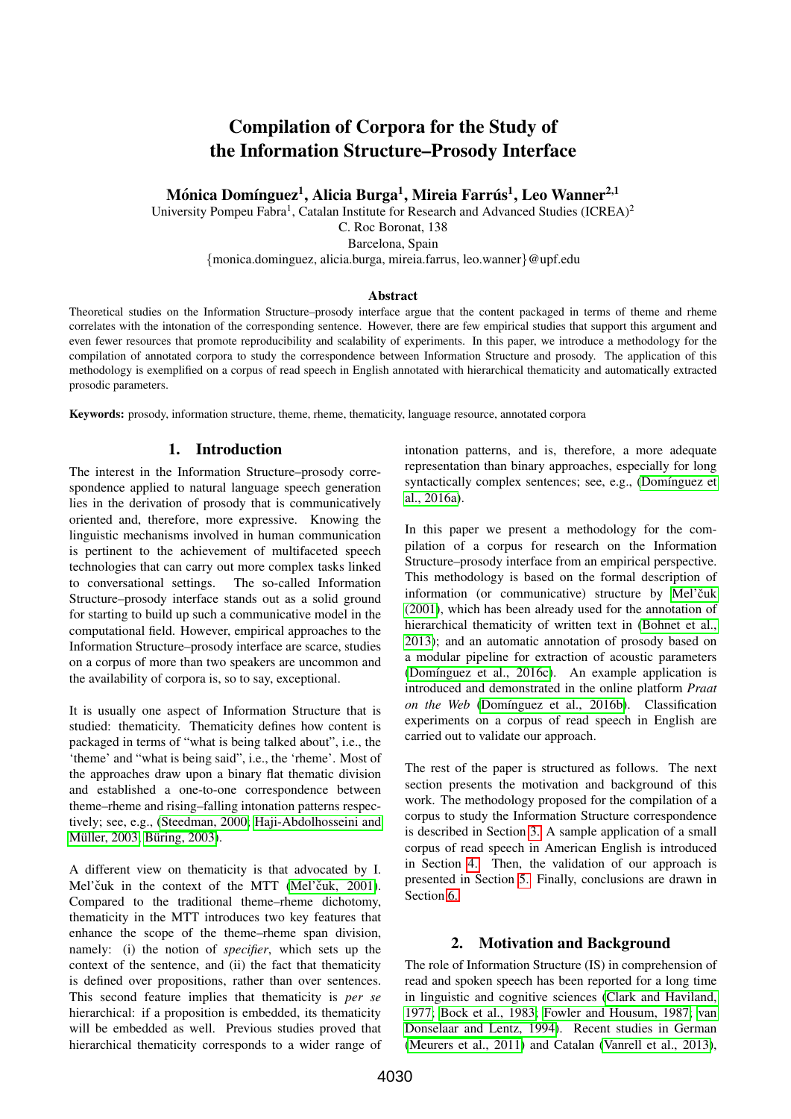# Compilation of Corpora for the Study of the Information Structure–Prosody Interface

Mónica Domínguez<sup>1</sup>, Alicia Burga<sup>1</sup>, Mireia Farrús<sup>1</sup>, Leo Wanner<sup>2,1</sup>

University Pompeu Fabra<sup>1</sup>, Catalan Institute for Research and Advanced Studies (ICREA)<sup>2</sup>

C. Roc Boronat, 138

Barcelona, Spain

{monica.dominguez, alicia.burga, mireia.farrus, leo.wanner}@upf.edu

#### Abstract

Theoretical studies on the Information Structure–prosody interface argue that the content packaged in terms of theme and rheme correlates with the intonation of the corresponding sentence. However, there are few empirical studies that support this argument and even fewer resources that promote reproducibility and scalability of experiments. In this paper, we introduce a methodology for the compilation of annotated corpora to study the correspondence between Information Structure and prosody. The application of this methodology is exemplified on a corpus of read speech in English annotated with hierarchical thematicity and automatically extracted prosodic parameters.

Keywords: prosody, information structure, theme, rheme, thematicity, language resource, annotated corpora

# 1. Introduction

The interest in the Information Structure–prosody correspondence applied to natural language speech generation lies in the derivation of prosody that is communicatively oriented and, therefore, more expressive. Knowing the linguistic mechanisms involved in human communication is pertinent to the achievement of multifaceted speech technologies that can carry out more complex tasks linked to conversational settings. The so-called Information Structure–prosody interface stands out as a solid ground for starting to build up such a communicative model in the computational field. However, empirical approaches to the Information Structure–prosody interface are scarce, studies on a corpus of more than two speakers are uncommon and the availability of corpora is, so to say, exceptional.

It is usually one aspect of Information Structure that is studied: thematicity. Thematicity defines how content is packaged in terms of "what is being talked about", i.e., the 'theme' and "what is being said", i.e., the 'rheme'. Most of the approaches draw upon a binary flat thematic division and established a one-to-one correspondence between theme–rheme and rising–falling intonation patterns respectively; see, e.g., [\(Steedman, 2000;](#page-5-0) [Haji-Abdolhosseini and](#page-5-1) Müller, 2003; Büring, 2003).

A different view on thematicity is that advocated by I. Mel'čuk in the context of the MTT (Mel'čuk, 2001). Compared to the traditional theme–rheme dichotomy, thematicity in the MTT introduces two key features that enhance the scope of the theme–rheme span division, namely: (i) the notion of *specifier*, which sets up the context of the sentence, and (ii) the fact that thematicity is defined over propositions, rather than over sentences. This second feature implies that thematicity is *per se* hierarchical: if a proposition is embedded, its thematicity will be embedded as well. Previous studies proved that hierarchical thematicity corresponds to a wider range of intonation patterns, and is, therefore, a more adequate representation than binary approaches, especially for long syntactically complex sentences; see, e.g., (Domínguez et [al., 2016a\)](#page-5-4).

In this paper we present a methodology for the compilation of a corpus for research on the Information Structure–prosody interface from an empirical perspective. This methodology is based on the formal description of information (or communicative) structure by Mel'čuk [\(2001\)](#page-5-3), which has been already used for the annotation of hierarchical thematicity of written text in [\(Bohnet et al.,](#page-5-5) [2013\)](#page-5-5); and an automatic annotation of prosody based on a modular pipeline for extraction of acoustic parameters (Domínguez et al., 2016c). An example application is introduced and demonstrated in the online platform *Praat on the Web* (Domínguez et al., 2016b). Classification experiments on a corpus of read speech in English are carried out to validate our approach.

The rest of the paper is structured as follows. The next section presents the motivation and background of this work. The methodology proposed for the compilation of a corpus to study the Information Structure correspondence is described in Section [3.](#page-1-0) A sample application of a small corpus of read speech in American English is introduced in Section [4.](#page-3-0) Then, the validation of our approach is presented in Section [5.](#page-3-1) Finally, conclusions are drawn in Section [6.](#page-4-0)

# 2. Motivation and Background

The role of Information Structure (IS) in comprehension of read and spoken speech has been reported for a long time in linguistic and cognitive sciences [\(Clark and Haviland,](#page-5-8) [1977;](#page-5-8) [Bock et al., 1983;](#page-5-9) [Fowler and Housum, 1987;](#page-5-10) [van](#page-5-11) [Donselaar and Lentz, 1994\)](#page-5-11). Recent studies in German [\(Meurers et al., 2011\)](#page-5-12) and Catalan [\(Vanrell et al., 2013\)](#page-5-13),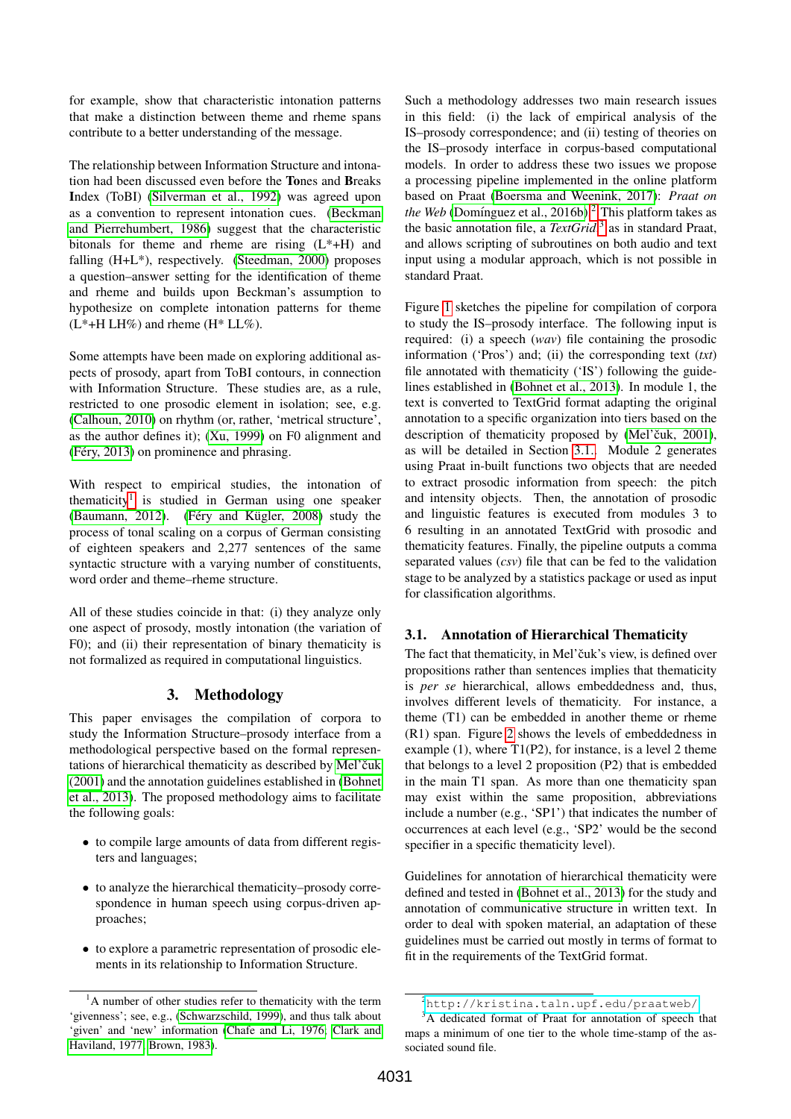for example, show that characteristic intonation patterns that make a distinction between theme and rheme spans contribute to a better understanding of the message.

The relationship between Information Structure and intonation had been discussed even before the Tones and Breaks Index (ToBI) [\(Silverman et al., 1992\)](#page-5-14) was agreed upon as a convention to represent intonation cues. [\(Beckman](#page-5-15) [and Pierrehumbert, 1986\)](#page-5-15) suggest that the characteristic bitonals for theme and rheme are rising  $(L^* + H)$  and falling (H+L\*), respectively. [\(Steedman, 2000\)](#page-5-0) proposes a question–answer setting for the identification of theme and rheme and builds upon Beckman's assumption to hypothesize on complete intonation patterns for theme  $(L^*+H LH\%)$  and rheme  $(H^* LL\%)$ .

Some attempts have been made on exploring additional aspects of prosody, apart from ToBI contours, in connection with Information Structure. These studies are, as a rule, restricted to one prosodic element in isolation; see, e.g. [\(Calhoun, 2010\)](#page-5-16) on rhythm (or, rather, 'metrical structure', as the author defines it); [\(Xu, 1999\)](#page-5-17) on F0 alignment and  $(Féry, 2013)$  on prominence and phrasing.

With respect to empirical studies, the intonation of thematicity<sup>[1](#page-1-1)</sup> is studied in German using one speaker [\(Baumann, 2012\)](#page-5-19). (Féry and Kügler, 2008) study the process of tonal scaling on a corpus of German consisting of eighteen speakers and 2,277 sentences of the same syntactic structure with a varying number of constituents, word order and theme–rheme structure.

All of these studies coincide in that: (i) they analyze only one aspect of prosody, mostly intonation (the variation of F0); and (ii) their representation of binary thematicity is not formalized as required in computational linguistics.

# 3. Methodology

<span id="page-1-0"></span>This paper envisages the compilation of corpora to study the Information Structure–prosody interface from a methodological perspective based on the formal representations of hierarchical thematicity as described by Mel'čuk [\(2001\)](#page-5-3) and the annotation guidelines established in [\(Bohnet](#page-5-5) [et al., 2013\)](#page-5-5). The proposed methodology aims to facilitate the following goals:

- to compile large amounts of data from different registers and languages;
- to analyze the hierarchical thematicity–prosody correspondence in human speech using corpus-driven approaches;
- to explore a parametric representation of prosodic elements in its relationship to Information Structure.

Such a methodology addresses two main research issues in this field: (i) the lack of empirical analysis of the IS–prosody correspondence; and (ii) testing of theories on the IS–prosody interface in corpus-based computational models. In order to address these two issues we propose a processing pipeline implemented in the online platform based on Praat [\(Boersma and Weenink, 2017\)](#page-5-24): *Praat on the Web* (Domínguez et al., [2](#page-1-2)016b).<sup>2</sup> This platform takes as the basic annotation file, a *TextGrid*, [3](#page-1-3) as in standard Praat, and allows scripting of subroutines on both audio and text input using a modular approach, which is not possible in standard Praat.

Figure [1](#page-2-0) sketches the pipeline for compilation of corpora to study the IS–prosody interface. The following input is required: (i) a speech (*wav*) file containing the prosodic information ('Pros') and; (ii) the corresponding text (*txt*) file annotated with thematicity ('IS') following the guidelines established in [\(Bohnet et al., 2013\)](#page-5-5). In module 1, the text is converted to TextGrid format adapting the original annotation to a specific organization into tiers based on the description of thematicity proposed by (Mel'čuk, 2001), as will be detailed in Section [3.1..](#page-1-4) Module 2 generates using Praat in-built functions two objects that are needed to extract prosodic information from speech: the pitch and intensity objects. Then, the annotation of prosodic and linguistic features is executed from modules 3 to 6 resulting in an annotated TextGrid with prosodic and thematicity features. Finally, the pipeline outputs a comma separated values (*csv*) file that can be fed to the validation stage to be analyzed by a statistics package or used as input for classification algorithms.

# <span id="page-1-4"></span>3.1. Annotation of Hierarchical Thematicity

The fact that thematicity, in Mel'čuk's view, is defined over propositions rather than sentences implies that thematicity is *per se* hierarchical, allows embeddedness and, thus, involves different levels of thematicity. For instance, a theme (T1) can be embedded in another theme or rheme (R1) span. Figure [2](#page-3-2) shows the levels of embeddedness in example  $(1)$ , where T1 $(P2)$ , for instance, is a level 2 theme that belongs to a level 2 proposition (P2) that is embedded in the main T1 span. As more than one thematicity span may exist within the same proposition, abbreviations include a number (e.g., 'SP1') that indicates the number of occurrences at each level (e.g., 'SP2' would be the second specifier in a specific thematicity level).

Guidelines for annotation of hierarchical thematicity were defined and tested in [\(Bohnet et al., 2013\)](#page-5-5) for the study and annotation of communicative structure in written text. In order to deal with spoken material, an adaptation of these guidelines must be carried out mostly in terms of format to fit in the requirements of the TextGrid format.

<span id="page-1-1"></span><sup>&</sup>lt;sup>1</sup>A number of other studies refer to thematicity with the term 'givenness'; see, e.g., [\(Schwarzschild, 1999\)](#page-5-21), and thus talk about 'given' and 'new' information [\(Chafe and Li, 1976;](#page-5-22) [Clark and](#page-5-8) [Haviland, 1977;](#page-5-8) [Brown, 1983\)](#page-5-23).

<span id="page-1-3"></span><span id="page-1-2"></span><sup>2</sup><http://kristina.taln.upf.edu/praatweb/>

<sup>&</sup>lt;sup>3</sup>A dedicated format of Praat for annotation of speech that maps a minimum of one tier to the whole time-stamp of the associated sound file.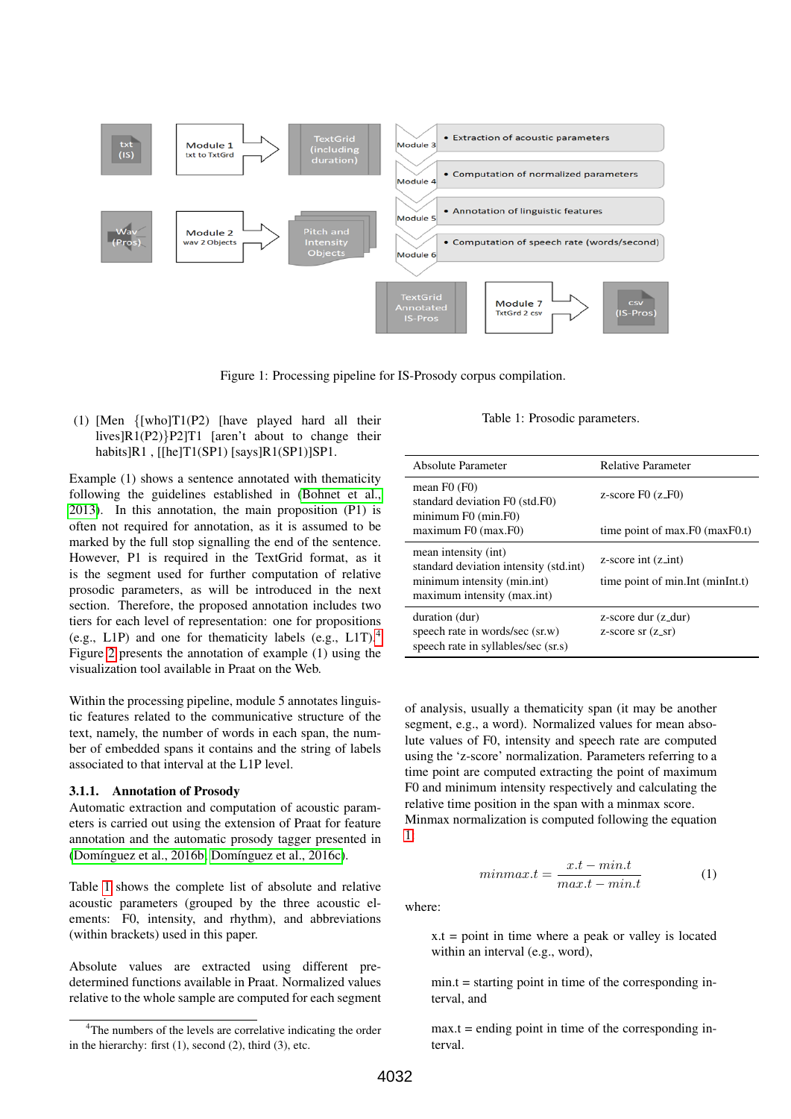<span id="page-2-0"></span>

Figure 1: Processing pipeline for IS-Prosody corpus compilation.

(1) [Men {[who]T1(P2) [have played hard all their lives]R1(P2)}P2]T1 [aren't about to change their habits]R1, [[he]T1(SP1) [says]R1(SP1)]SP1.

Example (1) shows a sentence annotated with thematicity following the guidelines established in [\(Bohnet et al.,](#page-5-5) [2013\)](#page-5-5). In this annotation, the main proposition (P1) is often not required for annotation, as it is assumed to be marked by the full stop signalling the end of the sentence. However, P1 is required in the TextGrid format, as it is the segment used for further computation of relative prosodic parameters, as will be introduced in the next section. Therefore, the proposed annotation includes two tiers for each level of representation: one for propositions (e.g., L1P) and one for thematicity labels (e.g., L1T).[4](#page-2-1) Figure [2](#page-3-2) presents the annotation of example (1) using the visualization tool available in Praat on the Web.

Within the processing pipeline, module 5 annotates linguistic features related to the communicative structure of the text, namely, the number of words in each span, the number of embedded spans it contains and the string of labels associated to that interval at the L1P level.

#### 3.1.1. Annotation of Prosody

Automatic extraction and computation of acoustic parameters is carried out using the extension of Praat for feature annotation and the automatic prosody tagger presented in (Domínguez et al., 2016b; Domínguez et al., 2016c).

Table [1](#page-2-2) shows the complete list of absolute and relative acoustic parameters (grouped by the three acoustic elements: F0, intensity, and rhythm), and abbreviations (within brackets) used in this paper.

Absolute values are extracted using different predetermined functions available in Praat. Normalized values relative to the whole sample are computed for each segment

Table 1: Prosodic parameters.

<span id="page-2-2"></span>

| Absolute Parameter                                                                                                           | <b>Relative Parameter</b>                                                  |
|------------------------------------------------------------------------------------------------------------------------------|----------------------------------------------------------------------------|
| mean $F0(F0)$<br>standard deviation F0 (std.F0)<br>minimum F0 (min.F0)                                                       | z-score $F0(z_F)$                                                          |
| maximum F0 (max.F0)                                                                                                          | time point of max. $F0$ (max $F0$ .t)                                      |
| mean intensity (int)<br>standard deviation intensity (std.int)<br>minimum intensity (min.int)<br>maximum intensity (max.int) | $z$ -score int $(z$ <sub>-int</sub> )<br>time point of min. Int (minInt.t) |
| duration (dur)<br>speech rate in words/sec (sr.w)<br>speech rate in syllables/sec (sr.s)                                     | z-score dur $(z_d)$<br>$z$ -score sr $(z$ <sub>-sr</sub> $)$               |

of analysis, usually a thematicity span (it may be another segment, e.g., a word). Normalized values for mean absolute values of F0, intensity and speech rate are computed using the 'z-score' normalization. Parameters referring to a time point are computed extracting the point of maximum F0 and minimum intensity respectively and calculating the relative time position in the span with a minmax score.

Minmax normalization is computed following the equation [1:](#page-2-3)

<span id="page-2-3"></span>
$$
minmax.t = \frac{x.t - min.t}{max.t - min.t}
$$
 (1)

where:

 $x.t = point in time where a peak or valley is located$ within an interval (e.g., word),

 $min.t = starting point in time of the corresponding in$ terval, and

 $max.t = ending point in time of the corresponding in$ terval.

<span id="page-2-1"></span><sup>&</sup>lt;sup>4</sup>The numbers of the levels are correlative indicating the order in the hierarchy: first  $(1)$ , second  $(2)$ , third  $(3)$ , etc.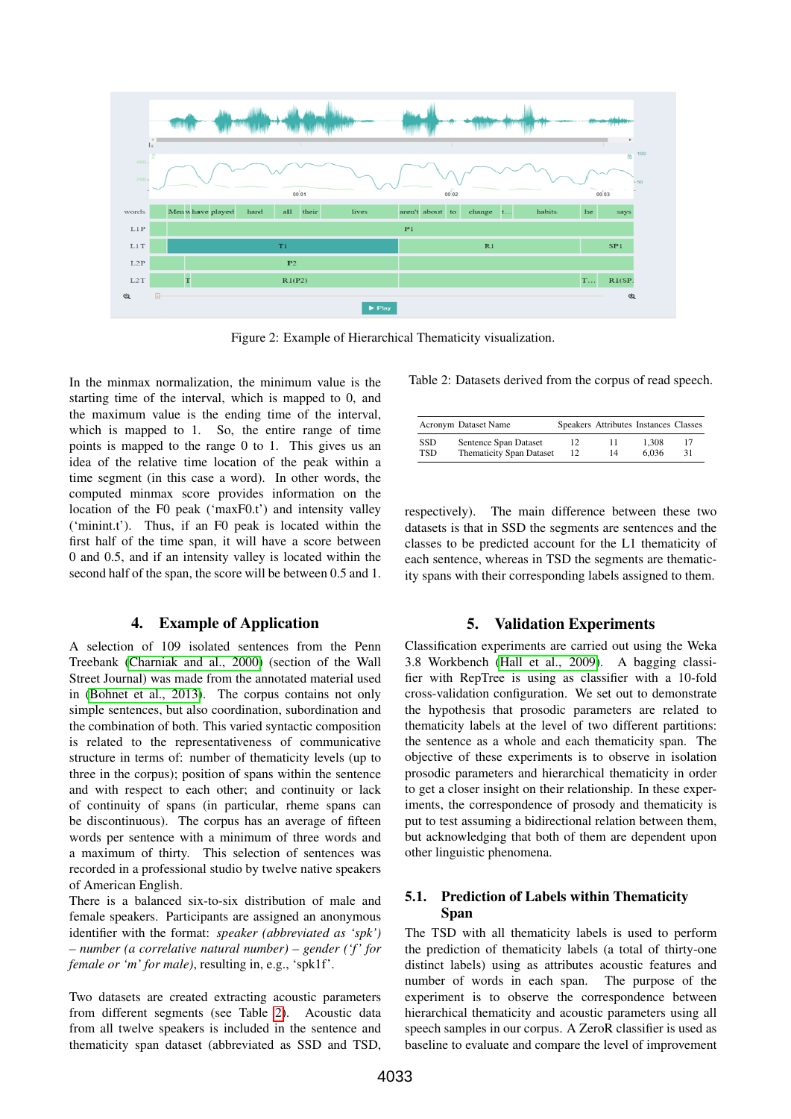<span id="page-3-2"></span>

Figure 2: Example of Hierarchical Thematicity visualization.

In the minmax normalization, the minimum value is the starting time of the interval, which is mapped to 0, and the maximum value is the ending time of the interval, which is mapped to 1. So, the entire range of time points is mapped to the range 0 to 1. This gives us an idea of the relative time location of the peak within a time segment (in this case a word). In other words, the computed minmax score provides information on the location of the F0 peak ('maxF0.t') and intensity valley ('minint.t'). Thus, if an F0 peak is located within the first half of the time span, it will have a score between 0 and 0.5, and if an intensity valley is located within the second half of the span, the score will be between 0.5 and 1.

# 4. Example of Application

<span id="page-3-0"></span>A selection of 109 isolated sentences from the Penn Treebank [\(Charniak and al., 2000\)](#page-5-25) (section of the Wall Street Journal) was made from the annotated material used in [\(Bohnet et al., 2013\)](#page-5-5). The corpus contains not only simple sentences, but also coordination, subordination and the combination of both. This varied syntactic composition is related to the representativeness of communicative structure in terms of: number of thematicity levels (up to three in the corpus); position of spans within the sentence and with respect to each other; and continuity or lack of continuity of spans (in particular, rheme spans can be discontinuous). The corpus has an average of fifteen words per sentence with a minimum of three words and a maximum of thirty. This selection of sentences was recorded in a professional studio by twelve native speakers of American English.

There is a balanced six-to-six distribution of male and female speakers. Participants are assigned an anonymous identifier with the format: *speaker (abbreviated as 'spk') – number (a correlative natural number) – gender ('f ' for female or 'm' for male)*, resulting in, e.g., 'spk1f'.

Two datasets are created extracting acoustic parameters from different segments (see Table [2\)](#page-3-3). Acoustic data from all twelve speakers is included in the sentence and thematicity span dataset (abbreviated as SSD and TSD,

<span id="page-3-3"></span>Table 2: Datasets derived from the corpus of read speech.

|                   | Acronym Dataset Name                                     |          | Speakers Attributes Instances Classes |                |    |
|-------------------|----------------------------------------------------------|----------|---------------------------------------|----------------|----|
| <b>SSD</b><br>TSD | Sentence Span Dataset<br><b>Thematicity Span Dataset</b> | 12<br>12 | 14                                    | 1.308<br>6.036 | 31 |
|                   |                                                          |          |                                       |                |    |

respectively). The main difference between these two datasets is that in SSD the segments are sentences and the classes to be predicted account for the L1 thematicity of each sentence, whereas in TSD the segments are thematicity spans with their corresponding labels assigned to them.

# 5. Validation Experiments

<span id="page-3-1"></span>Classification experiments are carried out using the Weka 3.8 Workbench [\(Hall et al., 2009\)](#page-5-26). A bagging classifier with RepTree is using as classifier with a 10-fold cross-validation configuration. We set out to demonstrate the hypothesis that prosodic parameters are related to thematicity labels at the level of two different partitions: the sentence as a whole and each thematicity span. The objective of these experiments is to observe in isolation prosodic parameters and hierarchical thematicity in order to get a closer insight on their relationship. In these experiments, the correspondence of prosody and thematicity is put to test assuming a bidirectional relation between them, but acknowledging that both of them are dependent upon other linguistic phenomena.

## 5.1. Prediction of Labels within Thematicity Span

The TSD with all thematicity labels is used to perform the prediction of thematicity labels (a total of thirty-one distinct labels) using as attributes acoustic features and number of words in each span. The purpose of the experiment is to observe the correspondence between hierarchical thematicity and acoustic parameters using all speech samples in our corpus. A ZeroR classifier is used as baseline to evaluate and compare the level of improvement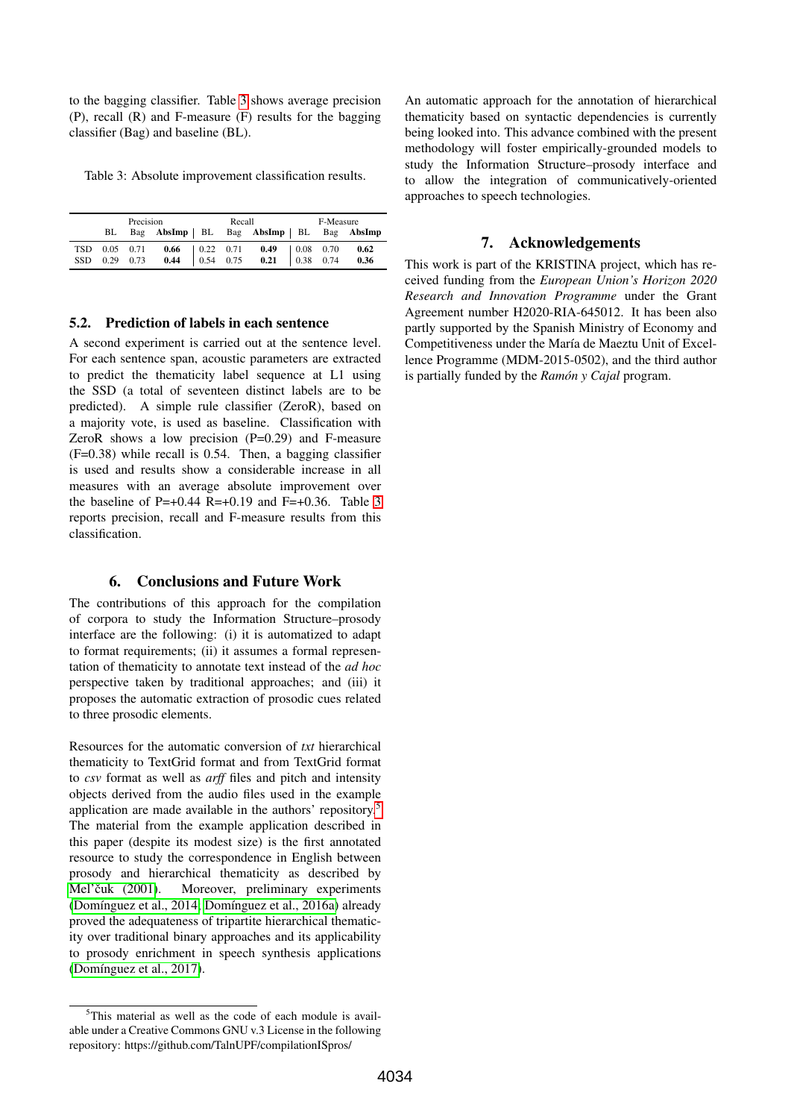to the bagging classifier. Table [3](#page-4-1) shows average precision (P), recall (R) and F-measure (F) results for the bagging classifier (Bag) and baseline (BL).

<span id="page-4-1"></span>Table 3: Absolute improvement classification results.

| Precision |  |  | Recall |  | F-Measure                                                                                            |  |  |  |
|-----------|--|--|--------|--|------------------------------------------------------------------------------------------------------|--|--|--|
| BL        |  |  |        |  | Bag AbsImp   BL Bag AbsImp   BL Bag AbsImp                                                           |  |  |  |
|           |  |  |        |  | TSD 0.05 0.71 0.66 0.22 0.71 0.49 0.08 0.70 0.62<br>SSD 0.29 0.73 0.44 0.54 0.75 0.21 0.38 0.74 0.36 |  |  |  |
|           |  |  |        |  |                                                                                                      |  |  |  |

#### 5.2. Prediction of labels in each sentence

A second experiment is carried out at the sentence level. For each sentence span, acoustic parameters are extracted to predict the thematicity label sequence at L1 using the SSD (a total of seventeen distinct labels are to be predicted). A simple rule classifier (ZeroR), based on a majority vote, is used as baseline. Classification with ZeroR shows a low precision  $(P=0.29)$  and F-measure (F=0.38) while recall is 0.54. Then, a bagging classifier is used and results show a considerable increase in all measures with an average absolute improvement over the baseline of P=+0.44 R=+0.19 and F=+0.36. Table [3](#page-4-1) reports precision, recall and F-measure results from this classification.

### 6. Conclusions and Future Work

<span id="page-4-0"></span>The contributions of this approach for the compilation of corpora to study the Information Structure–prosody interface are the following: (i) it is automatized to adapt to format requirements; (ii) it assumes a formal representation of thematicity to annotate text instead of the *ad hoc* perspective taken by traditional approaches; and (iii) it proposes the automatic extraction of prosodic cues related to three prosodic elements.

Resources for the automatic conversion of *txt* hierarchical thematicity to TextGrid format and from TextGrid format to *csv* format as well as *arff* files and pitch and intensity objects derived from the audio files used in the example application are made available in the authors' repository.[5](#page-4-2) The material from the example application described in this paper (despite its modest size) is the first annotated resource to study the correspondence in English between prosody and hierarchical thematicity as described by Mel'čuk (2001). Moreover, preliminary experiments (Domínguez et al., 2014; Domínguez et al., 2016a) already proved the adequateness of tripartite hierarchical thematicity over traditional binary approaches and its applicability to prosody enrichment in speech synthesis applications (Domínguez et al., 2017).

An automatic approach for the annotation of hierarchical thematicity based on syntactic dependencies is currently being looked into. This advance combined with the present methodology will foster empirically-grounded models to study the Information Structure–prosody interface and to allow the integration of communicatively-oriented approaches to speech technologies.

### 7. Acknowledgements

This work is part of the KRISTINA project, which has received funding from the *European Union's Horizon 2020 Research and Innovation Programme* under the Grant Agreement number H2020-RIA-645012. It has been also partly supported by the Spanish Ministry of Economy and Competitiveness under the María de Maeztu Unit of Excellence Programme (MDM-2015-0502), and the third author is partially funded by the *Ramón* y *Cajal* program.

<span id="page-4-2"></span> $5$ This material as well as the code of each module is available under a Creative Commons GNU v.3 License in the following repository: https://github.com/TalnUPF/compilationISpros/